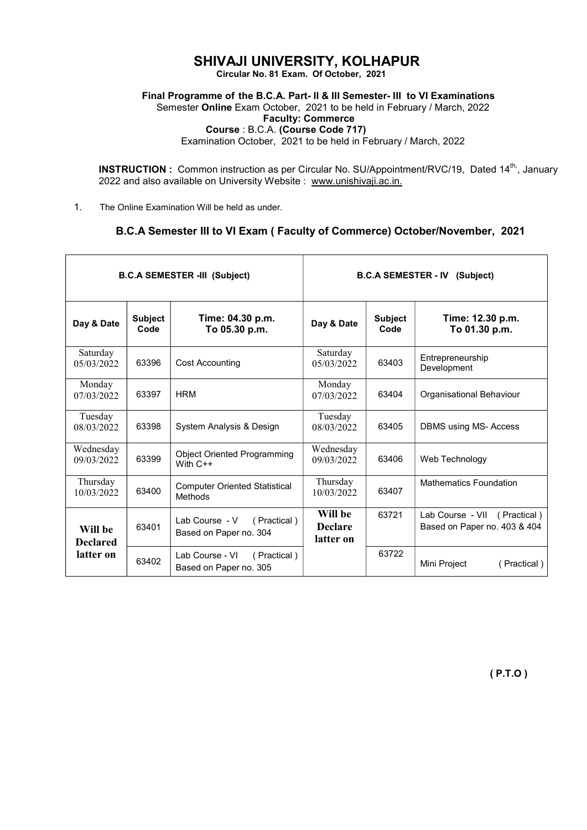## SHIVAJI UNIVERSITY, KOLHAPUR

Circular No. 81 Exam. Of October, 2021

Final Programme of the B.C.A. Part- II & III Semester- III to VI Examinations

Semester Online Exam October, 2021 to be held in February / March, 2022 Faculty: Commerce Course : B.C.A. (Course Code 717)

Examination October, 2021 to be held in February / March, 2022

INSTRUCTION : Common instruction as per Circular No. SU/Appointment/RVC/19, Dated 14<sup>th,</sup>, January 2022 and also available on University Website : www.unishivaji.ac.in.

1. The Online Examination Will be held as under.

## B.C.A Semester III to VI Exam ( Faculty of Commerce) October/November, 2021

| <b>B.C.A SEMESTER -III (Subject)</b> |                        |                                                          | <b>B.C.A SEMESTER - IV</b><br>(Subject) |                        |                                                              |
|--------------------------------------|------------------------|----------------------------------------------------------|-----------------------------------------|------------------------|--------------------------------------------------------------|
| Day & Date                           | <b>Subject</b><br>Code | Time: 04.30 p.m.<br>To 05.30 p.m.                        | Day & Date                              | <b>Subject</b><br>Code | Time: 12.30 p.m.<br>To 01.30 p.m.                            |
| Saturday<br>05/03/2022               | 63396                  | <b>Cost Accounting</b>                                   | Saturday<br>05/03/2022                  | 63403                  | Entrepreneurship<br>Development                              |
| Monday<br>07/03/2022                 | 63397                  | <b>HRM</b>                                               | Monday<br>07/03/2022                    | 63404                  | Organisational Behaviour                                     |
| Tuesday<br>08/03/2022                | 63398                  | System Analysis & Design                                 | Tuesday<br>08/03/2022                   | 63405                  | <b>DBMS</b> using MS-Access                                  |
| Wednesday<br>09/03/2022              | 63399                  | <b>Object Oriented Programming</b><br>With $C++$         | Wednesday<br>09/03/2022                 | 63406                  | Web Technology                                               |
| Thursday<br>10/03/2022               | 63400                  | <b>Computer Oriented Statistical</b><br>Methods          | Thursday<br>10/03/2022                  | 63407                  | <b>Mathematics Foundation</b>                                |
| Will be<br><b>Declared</b>           | 63401                  | Lab Course - V (Practical)<br>Based on Paper no. 304     | Will be<br><b>Declare</b><br>latter on  | 63721                  | Lab Course - VII (Practical)<br>Based on Paper no. 403 & 404 |
| latter on                            | 63402                  | Lab Course - VI<br>(Practical)<br>Based on Paper no. 305 |                                         | 63722                  | Mini Project<br>(Practical)                                  |